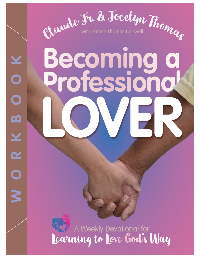

# **Becoming<br>Profession**

n's

DZ,

K

A Weekly Devotional for Learning to Love God's Way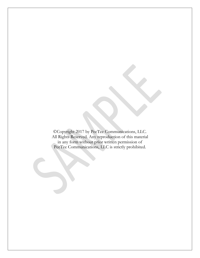©Copyright 2017 by PeeTee Communications, LLC. All Rights Reserved. Any reproduction of this material in any form without prior written permission of PeeTee Communications, LLC is strictly prohibited.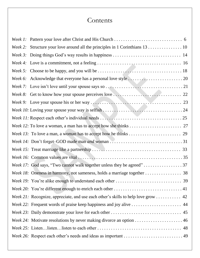# **Contents**

| Week 22: Frequent words of praise keep happiness and joy alive  44                                                 |
|--------------------------------------------------------------------------------------------------------------------|
|                                                                                                                    |
| <i>Week 24:</i> Motivate resolutions by never making divorce an option $\ldots \ldots \ldots \ldots \ldots \ldots$ |
|                                                                                                                    |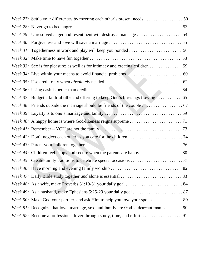| Week 27: Settle your differences by meeting each other's present needs 50                   |
|---------------------------------------------------------------------------------------------|
|                                                                                             |
| Week 29: Unresolved anger and resentment will destroy a marriage 54                         |
|                                                                                             |
|                                                                                             |
|                                                                                             |
| Week 33: Sex is for pleasure; as well as for intimacy and creating children 59              |
|                                                                                             |
|                                                                                             |
|                                                                                             |
|                                                                                             |
|                                                                                             |
|                                                                                             |
|                                                                                             |
|                                                                                             |
|                                                                                             |
|                                                                                             |
|                                                                                             |
|                                                                                             |
|                                                                                             |
|                                                                                             |
|                                                                                             |
|                                                                                             |
|                                                                                             |
| <i>Week 51:</i> Recognize that love, marriage, sex, and family are God's idea-not man's  90 |
|                                                                                             |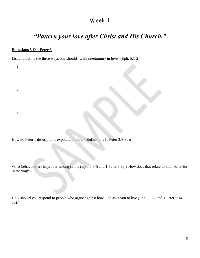### *"Pattern your love after Christ and His Church."*

#### **Ephesians 5 & 1 Peter 3**

List and define the three ways one should "walk *continually* in love" (Eph. 5:1-2).

1.

2.

3.

How do Peter's descriptions expound on Paul's definitions (1 Peter 3:8-9b)?

What behaviors are improper among saints (Eph. 5:3-5 and 1 Peter 3:9a)? How does that relate to your behavior in marriage?

How should you respond to people who argue against how God asks you to live (Eph. 5:6-7 and 1 Peter 3:14- 15)?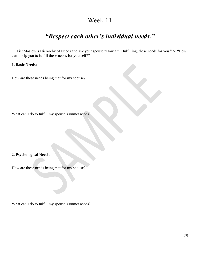## *"Respect each other's individual needs."*

 List Maslow's Hierarchy of Needs and ask your spouse "How am I fulfilling, these needs for you," or "How can I help you to fulfill these needs for yourself?"

**1. Basic Needs:**

How are these needs being met for my spouse?

What can I do to fulfill my spouse's unmet needs?

#### **2. Psychological Needs:**

How are these needs being met for my spouse?

What can I do to fulfill my spouse's unmet needs?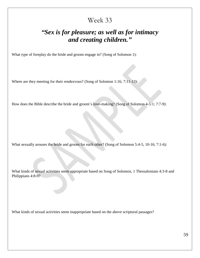### *"Sex is for pleasure; as well as for intimacy and creating children."*

What type of foreplay do the bride and groom engage in? (Song of Solomon 1):

Where are they meeting for their rendezvous? (Song of Solomon 1:16; 7:11-13):

How does the Bible describe the bride and groom's love-making? (Song of Solomon 4-5:1; 7:7-9):

What sexually arouses the bride and groom for each other? (Song of Solomon 5:4-5, 10-16; 7:1-6):

What kinds of sexual activities seem appropriate based on Song of Solomon, 1 Thessalonians 4:3-8 and Philippians 4:8-9?

What kinds of sexual activities seem inappropriate based on the above scriptural passages?